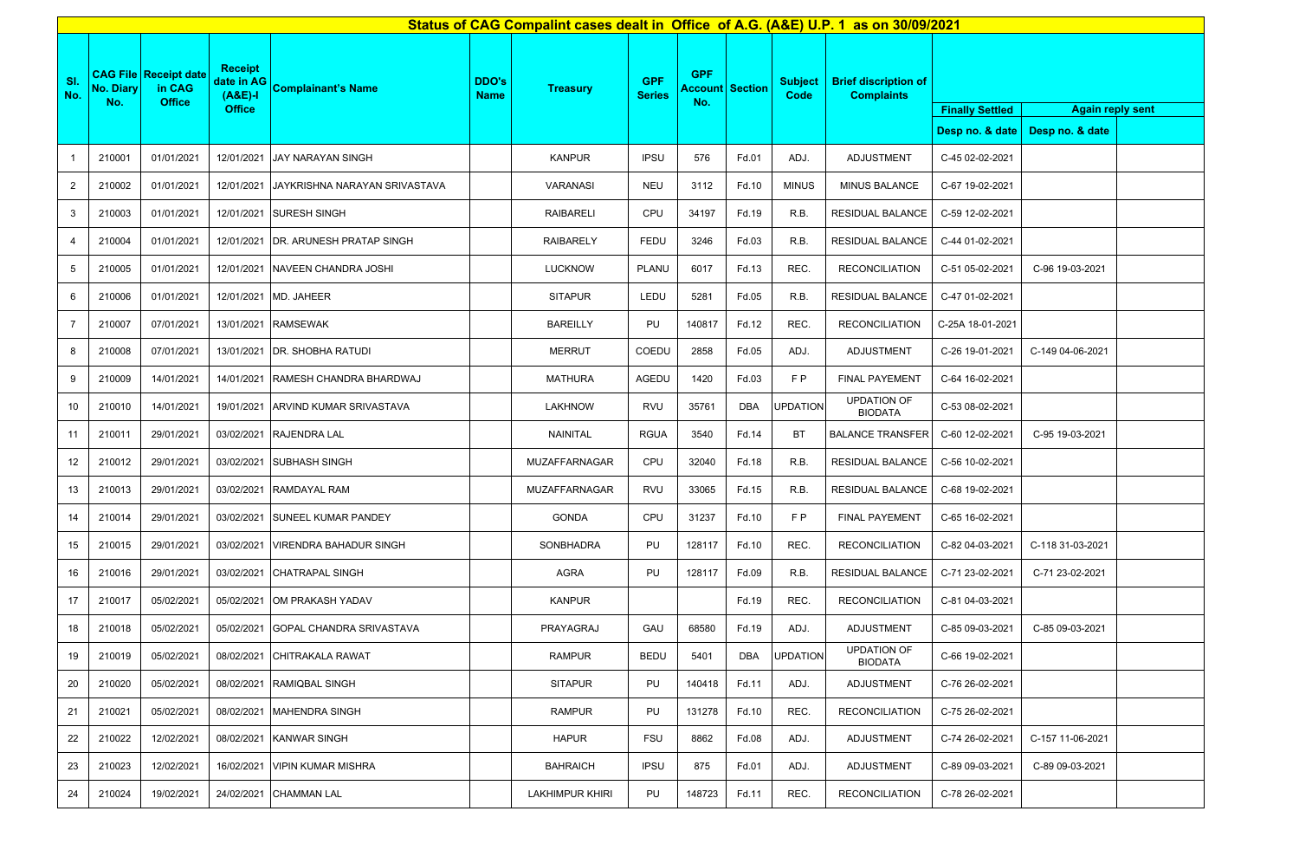|                | Status of CAG Compalint cases dealt in Office of A.G. (A&E) U.P. 1 as on 30/09/2021 |                                                         |                                                            |                                          |                             |                        |                             |                                             |       |                        |                                                  |                                                   |                  |  |
|----------------|-------------------------------------------------------------------------------------|---------------------------------------------------------|------------------------------------------------------------|------------------------------------------|-----------------------------|------------------------|-----------------------------|---------------------------------------------|-------|------------------------|--------------------------------------------------|---------------------------------------------------|------------------|--|
| SI.<br>No.     | No. Diary<br>No.                                                                    | <b>CAG File Receipt date</b><br>in CAG<br><b>Office</b> | <b>Receipt</b><br>date in AG<br>$(A&E)-I$<br><b>Office</b> | <b>Complainant's Name</b>                | <b>DDO's</b><br><b>Name</b> | <b>Treasury</b>        | <b>GPF</b><br><b>Series</b> | <b>GPF</b><br><b>Account Section</b><br>No. |       | <b>Subject</b><br>Code | <b>Brief discription of</b><br><b>Complaints</b> | <b>Finally Settled</b><br><b>Again reply sent</b> |                  |  |
|                |                                                                                     |                                                         |                                                            |                                          |                             |                        |                             |                                             |       |                        |                                                  | Desp no. & date                                   | Desp no. & date  |  |
| 1              | 210001                                                                              | 01/01/2021                                              |                                                            | 12/01/2021 JAY NARAYAN SINGH             |                             | <b>KANPUR</b>          | <b>IPSU</b>                 | 576                                         | Fd.01 | ADJ.                   | ADJUSTMENT                                       | C-45 02-02-2021                                   |                  |  |
| $\overline{2}$ | 210002                                                                              | 01/01/2021                                              |                                                            | 12/01/2021 JAYKRISHNA NARAYAN SRIVASTAVA |                             | <b>VARANASI</b>        | <b>NEU</b>                  | 3112                                        | Fd.10 | <b>MINUS</b>           | MINUS BALANCE                                    | C-67 19-02-2021                                   |                  |  |
| 3              | 210003                                                                              | 01/01/2021                                              |                                                            | 12/01/2021 SURESH SINGH                  |                             | <b>RAIBARELI</b>       | CPU                         | 34197                                       | Fd.19 | R.B.                   | RESIDUAL BALANCE                                 | C-59 12-02-2021                                   |                  |  |
| 4              | 210004                                                                              | 01/01/2021                                              | 12/01/2021                                                 | DR. ARUNESH PRATAP SINGH                 |                             | <b>RAIBARELY</b>       | FEDU                        | 3246                                        | Fd.03 | R.B.                   | RESIDUAL BALANCE                                 | C-44 01-02-2021                                   |                  |  |
| 5              | 210005                                                                              | 01/01/2021                                              | 12/01/2021                                                 | NAVEEN CHANDRA JOSHI                     |                             | <b>LUCKNOW</b>         | PLANU                       | 6017                                        | Fd.13 | REC.                   | <b>RECONCILIATION</b>                            | C-51 05-02-2021                                   | C-96 19-03-2021  |  |
| 6              | 210006                                                                              | 01/01/2021                                              |                                                            | 12/01/2021 MD. JAHEER                    |                             | <b>SITAPUR</b>         | LEDU                        | 5281                                        | Fd.05 | R.B.                   | RESIDUAL BALANCE                                 | C-47 01-02-2021                                   |                  |  |
| 7              | 210007                                                                              | 07/01/2021                                              |                                                            | 13/01/2021 RAMSEWAK                      |                             | <b>BAREILLY</b>        | PU                          | 140817                                      | Fd.12 | REC.                   | <b>RECONCILIATION</b>                            | C-25A 18-01-2021                                  |                  |  |
| 8              | 210008                                                                              | 07/01/2021                                              | 13/01/2021                                                 | <b>DR. SHOBHA RATUDI</b>                 |                             | <b>MERRUT</b>          | COEDU                       | 2858                                        | Fd.05 | ADJ.                   | <b>ADJUSTMENT</b>                                | C-26 19-01-2021                                   | C-149 04-06-2021 |  |
| 9              | 210009                                                                              | 14/01/2021                                              | 14/01/2021                                                 | RAMESH CHANDRA BHARDWAJ                  |                             | <b>MATHURA</b>         | AGEDU                       | 1420                                        | Fd.03 | F P                    | FINAL PAYEMENT                                   | C-64 16-02-2021                                   |                  |  |
| 10             | 210010                                                                              | 14/01/2021                                              |                                                            | 19/01/2021 ARVIND KUMAR SRIVASTAVA       |                             | <b>LAKHNOW</b>         | RVU                         | 35761                                       | DBA   | UPDATION               | <b>UPDATION OF</b><br><b>BIODATA</b>             | C-53 08-02-2021                                   |                  |  |
| 11             | 210011                                                                              | 29/01/2021                                              | 03/02/2021                                                 | <b>RAJENDRA LAL</b>                      |                             | NAINITAL               | <b>RGUA</b>                 | 3540                                        | Fd.14 | BT                     | <b>BALANCE TRANSFER</b>                          | C-60 12-02-2021                                   | C-95 19-03-2021  |  |
| 12             | 210012                                                                              | 29/01/2021                                              |                                                            | 03/02/2021 SUBHASH SINGH                 |                             | MUZAFFARNAGAR          | CPU                         | 32040                                       | Fd.18 | R.B.                   | RESIDUAL BALANCE                                 | C-56 10-02-2021                                   |                  |  |
| 13             | 210013                                                                              | 29/01/2021                                              | 03/02/2021                                                 | <b>RAMDAYAL RAM</b>                      |                             | MUZAFFARNAGAR          | <b>RVU</b>                  | 33065                                       | Fd.15 | R.B.                   | RESIDUAL BALANCE                                 | C-68 19-02-2021                                   |                  |  |
| 14             | 210014                                                                              | 29/01/2021                                              | 03/02/2021                                                 | <b>SUNEEL KUMAR PANDEY</b>               |                             | <b>GONDA</b>           | CPU                         | 31237                                       | Fd.10 | F P                    | FINAL PAYEMENT                                   | C-65 16-02-2021                                   |                  |  |
| 15             | 210015                                                                              | 29/01/2021                                              |                                                            | 03/02/2021 VIRENDRA BAHADUR SINGH        |                             | SONBHADRA              | PU                          | 128117                                      | Fd.10 | REC.                   | <b>RECONCILIATION</b>                            | C-82 04-03-2021                                   | C-118 31-03-2021 |  |
| 16             | 210016                                                                              | 29/01/2021                                              |                                                            | 03/02/2021 CHATRAPAL SINGH               |                             | <b>AGRA</b>            | PU                          | 128117                                      | Fd.09 | R.B.                   | RESIDUAL BALANCE                                 | C-71 23-02-2021                                   | C-71 23-02-2021  |  |
| 17             | 210017                                                                              | 05/02/2021                                              | 05/02/2021                                                 | OM PRAKASH YADAV                         |                             | <b>KANPUR</b>          |                             |                                             | Fd.19 | REC.                   | <b>RECONCILIATION</b>                            | C-81 04-03-2021                                   |                  |  |
| 18             | 210018                                                                              | 05/02/2021                                              |                                                            | 05/02/2021 GOPAL CHANDRA SRIVASTAVA      |                             | PRAYAGRAJ              | GAU                         | 68580                                       | Fd.19 | ADJ.                   | ADJUSTMENT                                       | C-85 09-03-2021                                   | C-85 09-03-2021  |  |
| 19             | 210019                                                                              | 05/02/2021                                              |                                                            | 08/02/2021 CHITRAKALA RAWAT              |                             | <b>RAMPUR</b>          | <b>BEDU</b>                 | 5401                                        | DBA   | <b>UPDATION</b>        | <b>UPDATION OF</b><br><b>BIODATA</b>             | C-66 19-02-2021                                   |                  |  |
| 20             | 210020                                                                              | 05/02/2021                                              | 08/02/2021                                                 | <b>RAMIQBAL SINGH</b>                    |                             | <b>SITAPUR</b>         | PU                          | 140418                                      | Fd.11 | ADJ.                   | ADJUSTMENT                                       | C-76 26-02-2021                                   |                  |  |
| 21             | 210021                                                                              | 05/02/2021                                              |                                                            | 08/02/2021 MAHENDRA SINGH                |                             | RAMPUR                 | PU                          | 131278                                      | Fd.10 | REC.                   | <b>RECONCILIATION</b>                            | C-75 26-02-2021                                   |                  |  |
| 22             | 210022                                                                              | 12/02/2021                                              | 08/02/2021                                                 | <b>KANWAR SINGH</b>                      |                             | <b>HAPUR</b>           | <b>FSU</b>                  | 8862                                        | Fd.08 | ADJ.                   | ADJUSTMENT                                       | C-74 26-02-2021                                   | C-157 11-06-2021 |  |
| 23             | 210023                                                                              | 12/02/2021                                              |                                                            | 16/02/2021 VIPIN KUMAR MISHRA            |                             | <b>BAHRAICH</b>        | <b>IPSU</b>                 | 875                                         | Fd.01 | ADJ.                   | ADJUSTMENT                                       | C-89 09-03-2021                                   | C-89 09-03-2021  |  |
| 24             | 210024                                                                              | 19/02/2021                                              |                                                            | 24/02/2021 CHAMMAN LAL                   |                             | <b>LAKHIMPUR KHIRI</b> | PU                          | 148723                                      | Fd.11 | REC.                   | <b>RECONCILIATION</b>                            | C-78 26-02-2021                                   |                  |  |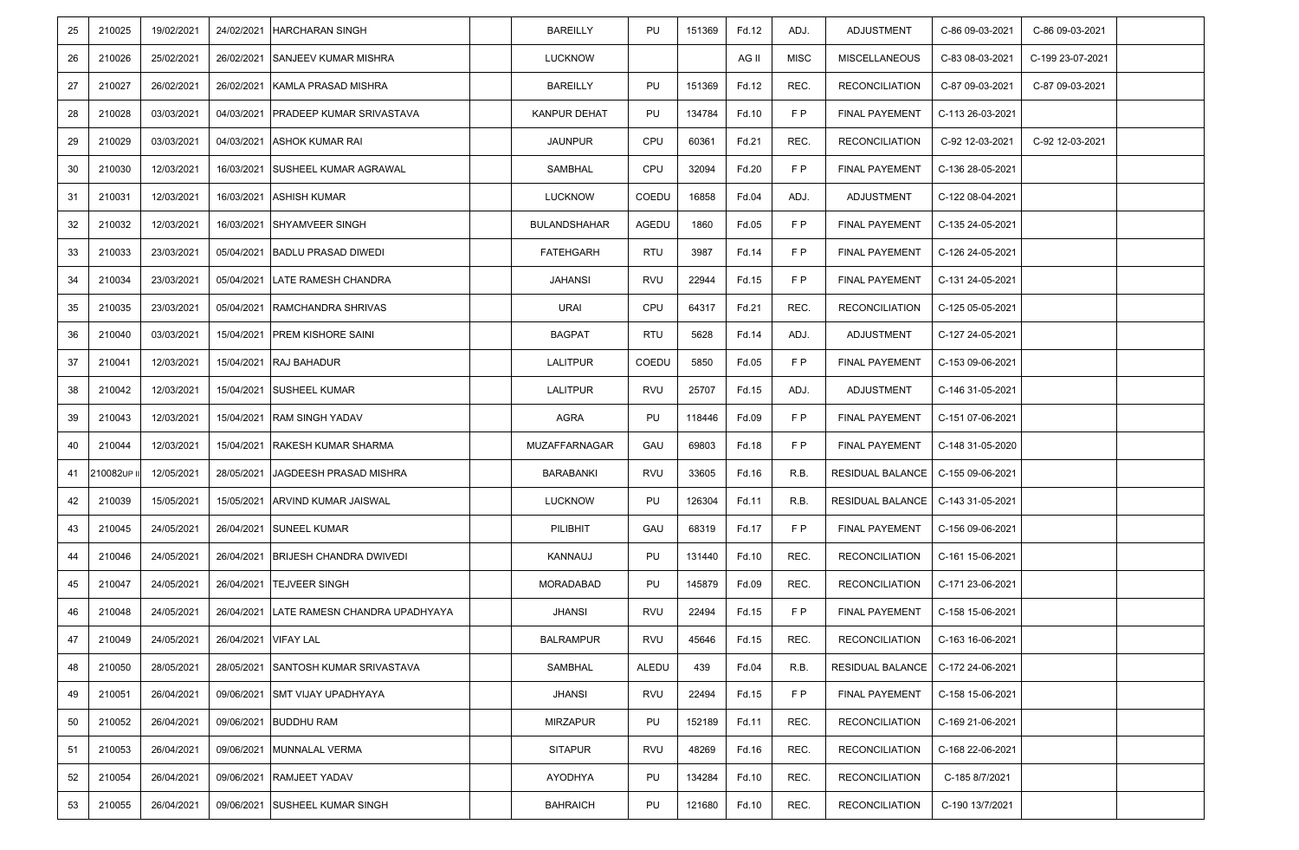| 25 | 210025   | 19/02/2021 |                      | 24/02/2021 HARCHARAN SINGH               | <b>BAREILLY</b>     | PU    | 151369 | Fd.12 | ADJ.        | ADJUSTMENT            | C-86 09-03-2021  | C-86 09-03-2021  |  |
|----|----------|------------|----------------------|------------------------------------------|---------------------|-------|--------|-------|-------------|-----------------------|------------------|------------------|--|
| 26 | 210026   | 25/02/2021 |                      | 26/02/2021 SANJEEV KUMAR MISHRA          | <b>LUCKNOW</b>      |       |        | AG II | <b>MISC</b> | <b>MISCELLANEOUS</b>  | C-83 08-03-2021  | C-199 23-07-2021 |  |
| 27 | 210027   | 26/02/2021 |                      | 26/02/2021 KAMLA PRASAD MISHRA           | <b>BAREILLY</b>     | PU    | 151369 | Fd.12 | REC.        | <b>RECONCILIATION</b> | C-87 09-03-2021  | C-87 09-03-2021  |  |
| 28 | 210028   | 03/03/2021 |                      | 04/03/2021 PRADEEP KUMAR SRIVASTAVA      | KANPUR DEHAT        | PU    | 134784 | Fd.10 | F P         | FINAL PAYEMENT        | C-113 26-03-2021 |                  |  |
| 29 | 210029   | 03/03/2021 |                      | 04/03/2021 ASHOK KUMAR RAI               | <b>JAUNPUR</b>      | CPU   | 60361  | Fd.21 | REC.        | <b>RECONCILIATION</b> | C-92 12-03-2021  | C-92 12-03-2021  |  |
| 30 | 210030   | 12/03/2021 |                      | 16/03/2021 SUSHEEL KUMAR AGRAWAL         | SAMBHAL             | CPU   | 32094  | Fd.20 | F P         | <b>FINAL PAYEMENT</b> | C-136 28-05-2021 |                  |  |
| 31 | 210031   | 12/03/2021 |                      | 16/03/2021 ASHISH KUMAR                  | <b>LUCKNOW</b>      | COEDU | 16858  | Fd.04 | ADJ.        | ADJUSTMENT            | C-122 08-04-2021 |                  |  |
| 32 | 210032   | 12/03/2021 |                      | 16/03/2021 SHYAMVEER SINGH               | <b>BULANDSHAHAR</b> | AGEDU | 1860   | Fd.05 | F P         | FINAL PAYEMENT        | C-135 24-05-2021 |                  |  |
| 33 | 210033   | 23/03/2021 |                      | 05/04/2021 BADLU PRASAD DIWEDI           | <b>FATEHGARH</b>    | RTU   | 3987   | Fd.14 | F P         | <b>FINAL PAYEMENT</b> | C-126 24-05-2021 |                  |  |
| 34 | 210034   | 23/03/2021 |                      | 05/04/2021 LATE RAMESH CHANDRA           | <b>JAHANSI</b>      | RVU   | 22944  | Fd.15 | F P         | FINAL PAYEMENT        | C-131 24-05-2021 |                  |  |
| 35 | 210035   | 23/03/2021 |                      | 05/04/2021 RAMCHANDRA SHRIVAS            | URAI                | CPU   | 64317  | Fd.21 | REC.        | <b>RECONCILIATION</b> | C-125 05-05-2021 |                  |  |
| 36 | 210040   | 03/03/2021 |                      | 15/04/2021 PREM KISHORE SAINI            | <b>BAGPAT</b>       | RTU   | 5628   | Fd.14 | ADJ.        | ADJUSTMENT            | C-127 24-05-2021 |                  |  |
| 37 | 210041   | 12/03/2021 |                      | 15/04/2021 RAJ BAHADUR                   | <b>LALITPUR</b>     | COEDU | 5850   | Fd.05 | F P         | <b>FINAL PAYEMENT</b> | C-153 09-06-2021 |                  |  |
| 38 | 210042   | 12/03/2021 |                      | 15/04/2021 SUSHEEL KUMAR                 | LALITPUR            | RVU   | 25707  | Fd.15 | ADJ.        | ADJUSTMENT            | C-146 31-05-2021 |                  |  |
| 39 | 210043   | 12/03/2021 |                      | 15/04/2021 RAM SINGH YADAV               | AGRA                | PU    | 118446 | Fd.09 | F P         | FINAL PAYEMENT        | C-151 07-06-2021 |                  |  |
| 40 | 210044   | 12/03/2021 |                      | 15/04/2021 RAKESH KUMAR SHARMA           | MUZAFFARNAGAR       | GAU   | 69803  | Fd.18 | F P         | FINAL PAYEMENT        | C-148 31-05-2020 |                  |  |
| 41 | 210082uP | 12/05/2021 |                      | 28/05/2021 JAGDEESH PRASAD MISHRA        | BARABANKI           | RVU   | 33605  | Fd.16 | R.B.        | RESIDUAL BALANCE      | C-155 09-06-2021 |                  |  |
| 42 | 210039   | 15/05/2021 |                      | 15/05/2021 ARVIND KUMAR JAISWAL          | <b>LUCKNOW</b>      | PU    | 126304 | Fd.11 | R.B.        | RESIDUAL BALANCE      | C-143 31-05-2021 |                  |  |
| 43 | 210045   | 24/05/2021 |                      | 26/04/2021 SUNEEL KUMAR                  | PILIBHIT            | GAU   | 68319  | Fd.17 | F P         | <b>FINAL PAYEMENT</b> | C-156 09-06-2021 |                  |  |
| 44 | 210046   | 24/05/2021 |                      | 26/04/2021 BRIJESH CHANDRA DWIVEDI       | KANNAUJ             | PU    | 131440 | Fd.10 | REC.        | <b>RECONCILIATION</b> | C-161 15-06-2021 |                  |  |
| 45 | 210047   | 24/05/2021 |                      | 26/04/2021 TEJVEER SINGH                 | MORADABAD           | PU    | 145879 | Fd.09 | REC.        | <b>RECONCILIATION</b> | C-171 23-06-2021 |                  |  |
| 46 | 210048   | 24/05/2021 |                      | 26/04/2021 LATE RAMESN CHANDRA UPADHYAYA | JHANSI              | RVU   | 22494  | Fd.15 | F P         | <b>FINAL PAYEMENT</b> | C-158 15-06-2021 |                  |  |
| 47 | 210049   | 24/05/2021 | 26/04/2021 VIFAY LAL |                                          | <b>BALRAMPUR</b>    | RVU   | 45646  | Fd.15 | REC.        | RECONCILIATION        | C-163 16-06-2021 |                  |  |
| 48 | 210050   | 28/05/2021 |                      | 28/05/2021 SANTOSH KUMAR SRIVASTAVA      | SAMBHAL             | ALEDU | 439    | Fd.04 | R.B.        | RESIDUAL BALANCE      | $C-1722-06-2021$ |                  |  |
| 49 | 210051   | 26/04/2021 |                      | 09/06/2021 SMT VIJAY UPADHYAYA           | JHANSI              | RVU   | 22494  | Fd.15 | F P         | FINAL PAYEMENT        | C-158 15-06-2021 |                  |  |
| 50 | 210052   | 26/04/2021 |                      | 09/06/2021 BUDDHU RAM                    | <b>MIRZAPUR</b>     | PU    | 152189 | Fd.11 | REC.        | <b>RECONCILIATION</b> | C-169 21-06-2021 |                  |  |
| 51 | 210053   | 26/04/2021 |                      | 09/06/2021 MUNNALAL VERMA                | <b>SITAPUR</b>      | RVU   | 48269  | Fd.16 | REC.        | <b>RECONCILIATION</b> | C-168 22-06-2021 |                  |  |
| 52 | 210054   | 26/04/2021 |                      | 09/06/2021 RAMJEET YADAV                 | AYODHYA             | PU    | 134284 | Fd.10 | REC.        | <b>RECONCILIATION</b> | C-185 8/7/2021   |                  |  |
| 53 | 210055   | 26/04/2021 |                      | 09/06/2021 SUSHEEL KUMAR SINGH           | <b>BAHRAICH</b>     | PU    | 121680 | Fd.10 | REC.        | <b>RECONCILIATION</b> | C-190 13/7/2021  |                  |  |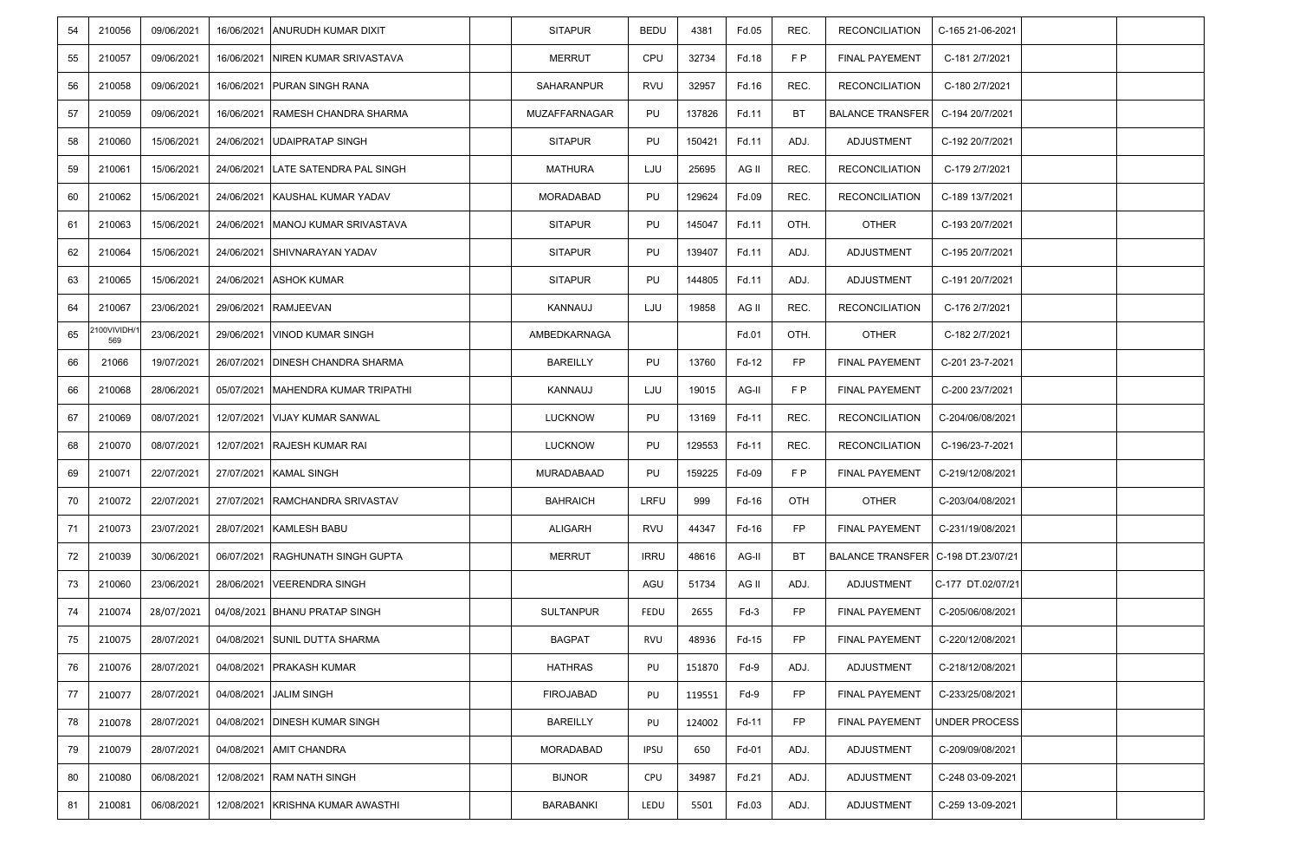| 54 | 210056            | 09/06/2021 | 16/06/2021 ANURUDH KUMAR DIXIT      | <b>SITAPUR</b>       | <b>BEDU</b> | 4381   | Fd.05   | REC.      | <b>RECONCILIATION</b>                | C-165 21-06-2021  |  |
|----|-------------------|------------|-------------------------------------|----------------------|-------------|--------|---------|-----------|--------------------------------------|-------------------|--|
| 55 | 210057            | 09/06/2021 | 16/06/2021   NIREN KUMAR SRIVASTAVA | <b>MERRUT</b>        | <b>CPU</b>  | 32734  | Fd.18   | F P       | <b>FINAL PAYEMENT</b>                | C-181 2/7/2021    |  |
| 56 | 210058            | 09/06/2021 | 16/06/2021 PURAN SINGH RANA         | SAHARANPUR           | RVU         | 32957  | Fd.16   | REC.      | <b>RECONCILIATION</b>                | C-180 2/7/2021    |  |
| 57 | 210059            | 09/06/2021 | 16/06/2021 RAMESH CHANDRA SHARMA    | <b>MUZAFFARNAGAR</b> | PU          | 137826 | Fd.11   | BT        | <b>BALANCE TRANSFER</b>              | C-194 20/7/2021   |  |
| 58 | 210060            | 15/06/2021 | 24/06/2021 UDAIPRATAP SINGH         | <b>SITAPUR</b>       | PU          | 150421 | Fd.11   | ADJ.      | ADJUSTMENT                           | C-192 20/7/2021   |  |
| 59 | 210061            | 15/06/2021 | 24/06/2021 LATE SATENDRA PAL SINGH  | <b>MATHURA</b>       | LJU         | 25695  | AG II   | REC.      | <b>RECONCILIATION</b>                | C-179 2/7/2021    |  |
| 60 | 210062            | 15/06/2021 | 24/06/2021 KAUSHAL KUMAR YADAV      | MORADABAD            | PU          | 129624 | Fd.09   | REC.      | <b>RECONCILIATION</b>                | C-189 13/7/2021   |  |
| 61 | 210063            | 15/06/2021 | 24/06/2021 MANOJ KUMAR SRIVASTAVA   | <b>SITAPUR</b>       | PU          | 145047 | Fd.11   | OTH.      | <b>OTHER</b>                         | C-193 20/7/2021   |  |
| 62 | 210064            | 15/06/2021 | 24/06/2021 SHIVNARAYAN YADAV        | <b>SITAPUR</b>       | PU          | 139407 | Fd.11   | ADJ.      | ADJUSTMENT                           | C-195 20/7/2021   |  |
| 63 | 210065            | 15/06/2021 | 24/06/2021 ASHOK KUMAR              | <b>SITAPUR</b>       | PU          | 144805 | Fd.11   | ADJ.      | ADJUSTMENT                           | C-191 20/7/2021   |  |
| 64 | 210067            | 23/06/2021 | 29/06/2021 RAMJEEVAN                | KANNAUJ              | LJU         | 19858  | AG II   | REC.      | <b>RECONCILIATION</b>                | C-176 2/7/2021    |  |
| 65 | 100VIVIDH/<br>569 | 23/06/2021 | 29/06/2021 VINOD KUMAR SINGH        | AMBEDKARNAGA         |             |        | Fd.01   | OTH.      | <b>OTHER</b>                         | C-182 2/7/2021    |  |
| 66 | 21066             | 19/07/2021 | 26/07/2021 DINESH CHANDRA SHARMA    | <b>BAREILLY</b>      | PU          | 13760  | Fd-12   | FP        | FINAL PAYEMENT                       | C-201 23-7-2021   |  |
| 66 | 210068            | 28/06/2021 | 05/07/2021 MAHENDRA KUMAR TRIPATHI  | KANNAUJ              | LJU         | 19015  | AG-II   | FP        | FINAL PAYEMENT                       | C-200 23/7/2021   |  |
| 67 | 210069            | 08/07/2021 | 12/07/2021 VIJAY KUMAR SANWAL       | <b>LUCKNOW</b>       | PU          | 13169  | Fd-11   | REC.      | <b>RECONCILIATION</b>                | C-204/06/08/2021  |  |
| 68 | 210070            | 08/07/2021 | 12/07/2021 RAJESH KUMAR RAI         | <b>LUCKNOW</b>       | PU          | 129553 | Fd-11   | REC.      | <b>RECONCILIATION</b>                | C-196/23-7-2021   |  |
| 69 | 210071            | 22/07/2021 | 27/07/2021 KAMAL SINGH              | MURADABAAD           | PU          | 159225 | Fd-09   | F P       | <b>FINAL PAYEMENT</b>                | C-219/12/08/2021  |  |
| 70 | 210072            | 22/07/2021 | 27/07/2021 RAMCHANDRA SRIVASTAV     | <b>BAHRAICH</b>      | LRFU        | 999    | Fd-16   | OTH       | <b>OTHER</b>                         | C-203/04/08/2021  |  |
| 71 | 210073            | 23/07/2021 | 28/07/2021 KAMLESH BABU             | <b>ALIGARH</b>       | <b>RVU</b>  | 44347  | Fd-16   | <b>FP</b> | FINAL PAYEMENT                       | C-231/19/08/2021  |  |
| 72 | 210039            | 30/06/2021 | 06/07/2021 RAGHUNATH SINGH GUPTA    | <b>MERRUT</b>        | <b>IRRU</b> | 48616  | AG-II   | BT        | BALANCE TRANSFER   C-198 DT.23/07/21 |                   |  |
| 73 | 210060            | 23/06/2021 | 28/06/2021 VEERENDRA SINGH          |                      | AGU         | 51734  | AG II   | ADJ.      | ADJUSTMENT                           | C-177 DT.02/07/21 |  |
| 74 | 210074            | 28/07/2021 | 04/08/2021 BHANU PRATAP SINGH       | <b>SULTANPUR</b>     | FEDU        | 2655   | $Fd-3$  | FP        | <b>FINAL PAYEMENT</b>                | C-205/06/08/2021  |  |
| 75 | 210075            | 28/07/2021 | 04/08/2021 SUNIL DUTTA SHARMA       | <b>BAGPAT</b>        | RVU         | 48936  | $Fd-15$ | <b>FP</b> | FINAL PAYEMENT C-220/12/08/2021      |                   |  |
| 76 | 210076            | 28/07/2021 | 04/08/2021 PRAKASH KUMAR            | <b>HATHRAS</b>       | PU          | 151870 | Fd-9    | ADJ.      | ADJUSTMENT                           | C-218/12/08/2021  |  |
| 77 | 210077            | 28/07/2021 | 04/08/2021 JALIM SINGH              | <b>FIROJABAD</b>     | PU          | 119551 | $Fd-9$  | <b>FP</b> | FINAL PAYEMENT                       | C-233/25/08/2021  |  |
| 78 | 210078            | 28/07/2021 | 04/08/2021 DINESH KUMAR SINGH       | BAREILLY             | PU          | 124002 | Fd-11   | <b>FP</b> | FINAL PAYEMENT                       | UNDER PROCESS     |  |
| 79 | 210079            | 28/07/2021 | 04/08/2021 AMIT CHANDRA             | MORADABAD            | <b>IPSU</b> | 650    | Fd-01   | ADJ.      | ADJUSTMENT                           | C-209/09/08/2021  |  |
| 80 | 210080            | 06/08/2021 | 12/08/2021 RAM NATH SINGH           | <b>BIJNOR</b>        | CPU         | 34987  | Fd.21   | ADJ.      | ADJUSTMENT                           | C-248 03-09-2021  |  |
| 81 | 210081            | 06/08/2021 | 12/08/2021 KRISHNA KUMAR AWASTHI    | <b>BARABANKI</b>     | LEDU        | 5501   | Fd.03   | ADJ.      | ADJUSTMENT                           | C-259 13-09-2021  |  |